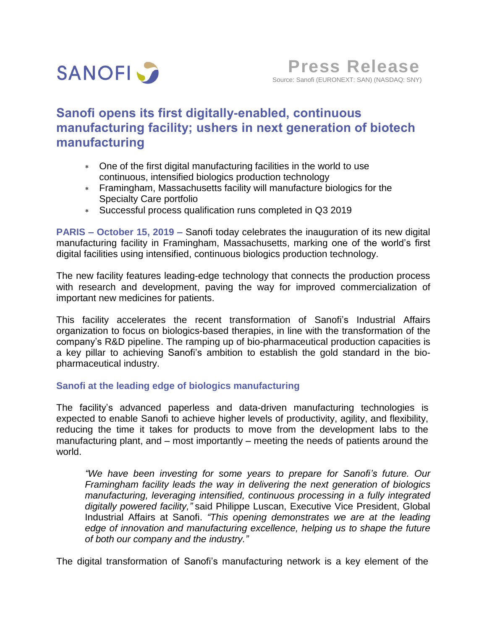

# **Sanofi opens its first digitally-enabled, continuous manufacturing facility; ushers in next generation of biotech manufacturing**

- One of the first digital manufacturing facilities in the world to use continuous, intensified biologics production technology
- Framingham, Massachusetts facility will manufacture biologics for the Specialty Care portfolio
- Successful process qualification runs completed in Q3 2019

**PARIS – October 15, 2019 –** Sanofi today celebrates the inauguration of its new digital manufacturing facility in Framingham, Massachusetts, marking one of the world's first digital facilities using intensified, continuous biologics production technology.

The new facility features leading-edge technology that connects the production process with research and development, paving the way for improved commercialization of important new medicines for patients.

This facility accelerates the recent transformation of Sanofi's Industrial Affairs organization to focus on biologics-based therapies, in line with the transformation of the company's R&D pipeline. The ramping up of bio-pharmaceutical production capacities is a key pillar to achieving Sanofi's ambition to establish the gold standard in the biopharmaceutical industry.

## **Sanofi at the leading edge of biologics manufacturing**

The facility's advanced paperless and data-driven manufacturing technologies is expected to enable Sanofi to achieve higher levels of productivity, agility, and flexibility, reducing the time it takes for products to move from the development labs to the manufacturing plant, and – most importantly – meeting the needs of patients around the world.

*"We have been investing for some years to prepare for Sanofi's future. Our Framingham facility leads the way in delivering the next generation of biologics manufacturing, leveraging intensified, continuous processing in a fully integrated digitally powered facility,"* said Philippe Luscan, Executive Vice President, Global Industrial Affairs at Sanofi. *"This opening demonstrates we are at the leading edge of innovation and manufacturing excellence, helping us to shape the future of both our company and the industry."*

The digital transformation of Sanofi's manufacturing network is a key element of the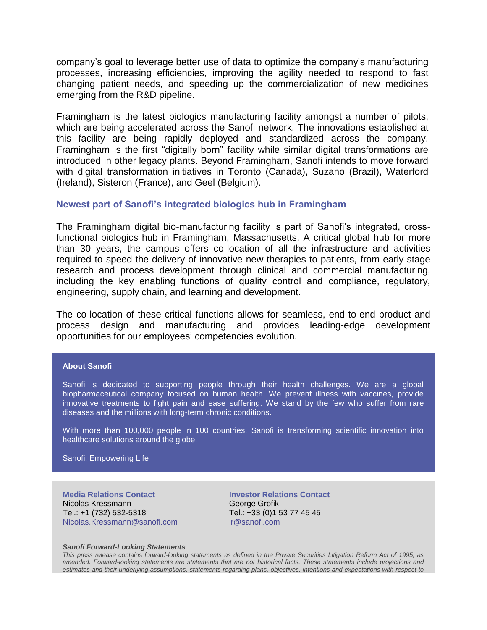company's goal to leverage better use of data to optimize the company's manufacturing processes, increasing efficiencies, improving the agility needed to respond to fast changing patient needs, and speeding up the commercialization of new medicines emerging from the R&D pipeline.

Framingham is the latest biologics manufacturing facility amongst a number of pilots, which are being accelerated across the Sanofi network. The innovations established at this facility are being rapidly deployed and standardized across the company. Framingham is the first "digitally born" facility while similar digital transformations are introduced in other legacy plants. Beyond Framingham, Sanofi intends to move forward with digital transformation initiatives in Toronto (Canada), Suzano (Brazil), Waterford (Ireland), Sisteron (France), and Geel (Belgium).

### **Newest part of Sanofi's integrated biologics hub in Framingham**

The Framingham digital bio-manufacturing facility is part of Sanofi's integrated, crossfunctional biologics hub in Framingham, Massachusetts. A critical global hub for more than 30 years, the campus offers co-location of all the infrastructure and activities required to speed the delivery of innovative new therapies to patients, from early stage research and process development through clinical and commercial manufacturing, including the key enabling functions of quality control and compliance, regulatory, engineering, supply chain, and learning and development.

The co-location of these critical functions allows for seamless, end-to-end product and process design and manufacturing and provides leading-edge development opportunities for our employees' competencies evolution.

#### **About Sanofi**

Sanofi is dedicated to supporting people through their health challenges. We are a global biopharmaceutical company focused on human health. We prevent illness with vaccines, provide innovative treatments to fight pain and ease suffering. We stand by the few who suffer from rare diseases and the millions with long-term chronic conditions.

With more than 100,000 people in 100 countries, Sanofi is transforming scientific innovation into healthcare solutions around the globe.

Sanofi, Empowering Life

**Media Relations Contact** Nicolas Kressmann Tel.: +1 (732) 532-5318 [Nicolas.Kressmann@sanofi.com](mailto:Nicolas.Kressmann@sanofi.com)

**Investor Relations Contact** George Grofik Tel.: +33 (0)1 53 77 45 45 [ir@sanofi.com](mailto:ir@sanofi.com)

#### *Sanofi Forward-Looking Statements*

*This press release contains forward-looking statements as defined in the Private Securities Litigation Reform Act of 1995, as amended. Forward-looking statements are statements that are not historical facts. These statements include projections and estimates and their underlying assumptions, statements regarding plans, objectives, intentions and expectations with respect to*